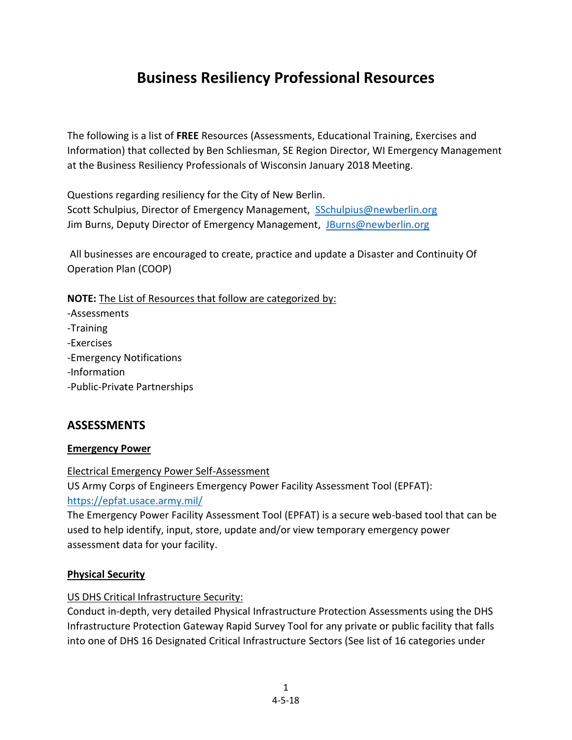# **Business Resiliency Professional Resources**

The following is a list of **FREE** Resources (Assessments, Educational Training, Exercises and Information) that collected by Ben Schliesman, SE Region Director, WI Emergency Management at the Business Resiliency Professionals of Wisconsin January 2018 Meeting.

Questions regarding resiliency for the City of New Berlin. Scott Schulpius, Director of Emergency Management, [SSchulpius@newberlin.org](mailto:SSchulpius@newberlin.org) Jim Burns, Deputy Director of Emergency Management, [JBurns@newberlin.org](mailto:JBurns@newberlin.org)

All businesses are encouraged to create, practice and update a Disaster and Continuity Of Operation Plan (COOP)

**NOTE:** The List of Resources that follow are categorized by:

-Assessments -Training -Exercises -Emergency Notifications -Information -Public-Private Partnerships

# **ASSESSMENTS**

#### **Emergency Power**

Electrical Emergency Power Self-Assessment US Army Corps of Engineers Emergency Power Facility Assessment Tool (EPFAT): <https://epfat.usace.army.mil/>

The Emergency Power Facility Assessment Tool (EPFAT) is a secure web-based tool that can be used to help identify, input, store, update and/or view temporary emergency power assessment data for your facility.

#### **Physical Security**

US DHS Critical Infrastructure Security:

Conduct in-depth, very detailed Physical Infrastructure Protection Assessments using the DHS Infrastructure Protection Gateway Rapid Survey Tool for any private or public facility that falls into one of DHS 16 Designated Critical Infrastructure Sectors (See list of 16 categories under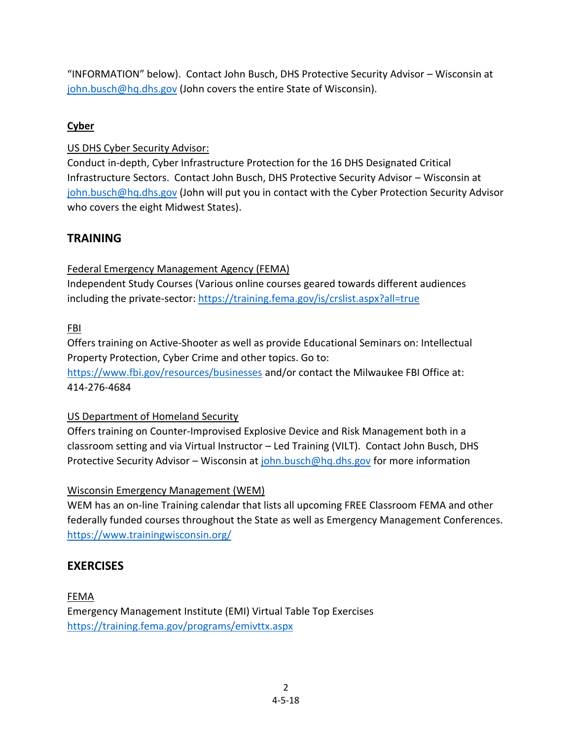"INFORMATION" below). Contact John Busch, DHS Protective Security Advisor – Wisconsin at [john.busch@hq.dhs.gov](mailto:john.busch@hq.dhs.gov) (John covers the entire State of Wisconsin).

# **Cyber**

## US DHS Cyber Security Advisor:

Conduct in-depth, Cyber Infrastructure Protection for the 16 DHS Designated Critical Infrastructure Sectors. Contact John Busch, DHS Protective Security Advisor – Wisconsin at [john.busch@hq.dhs.gov](mailto:john.busch@hq.dhs.gov) (John will put you in contact with the Cyber Protection Security Advisor who covers the eight Midwest States).

# **TRAINING**

# Federal Emergency Management Agency (FEMA)

Independent Study Courses (Various online courses geared towards different audiences including the private-sector: <https://training.fema.gov/is/crslist.aspx?all=true>

FBI

Offers training on Active-Shooter as well as provide Educational Seminars on: Intellectual Property Protection, Cyber Crime and other topics. Go to: <https://www.fbi.gov/resources/businesses> and/or contact the Milwaukee FBI Office at: 414-276-4684

## US Department of Homeland Security

Offers training on Counter-Improvised Explosive Device and Risk Management both in a classroom setting and via Virtual Instructor – Led Training (VILT). Contact John Busch, DHS Protective Security Advisor – Wisconsin at  $\frac{\sinh(b)}{\cosh(a)}$  and  $\frac{\sinh(a)}{\cosh(a)}$  for more information

## Wisconsin Emergency Management (WEM)

WEM has an on-line Training calendar that lists all upcoming FREE Classroom FEMA and other federally funded courses throughout the State as well as Emergency Management Conferences. <https://www.trainingwisconsin.org/>

# **EXERCISES**

# FEMA Emergency Management Institute (EMI) Virtual Table Top Exercises <https://training.fema.gov/programs/emivttx.aspx>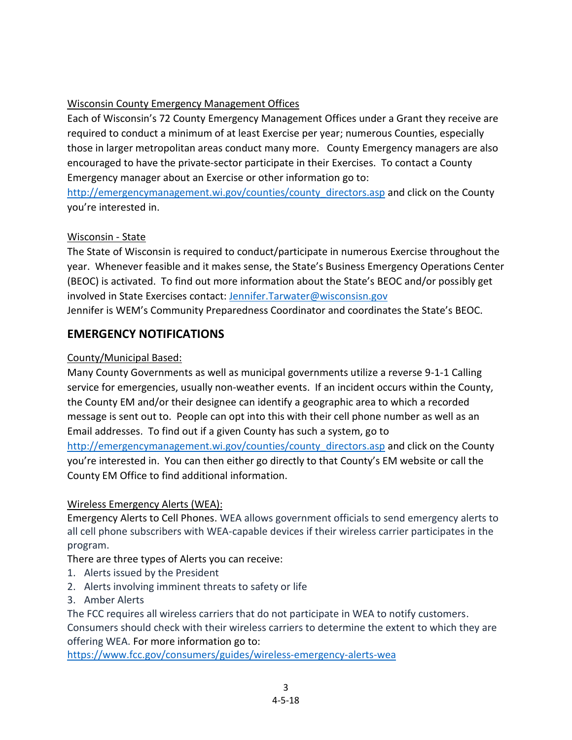## Wisconsin County Emergency Management Offices

Each of Wisconsin's 72 County Emergency Management Offices under a Grant they receive are required to conduct a minimum of at least Exercise per year; numerous Counties, especially those in larger metropolitan areas conduct many more. County Emergency managers are also encouraged to have the private-sector participate in their Exercises. To contact a County Emergency manager about an Exercise or other information go to:

[http://emergencymanagement.wi.gov/counties/county\\_directors.asp](http://emergencymanagement.wi.gov/counties/county_directors.asp) and click on the County you're interested in.

## Wisconsin - State

The State of Wisconsin is required to conduct/participate in numerous Exercise throughout the year. Whenever feasible and it makes sense, the State's Business Emergency Operations Center (BEOC) is activated. To find out more information about the State's BEOC and/or possibly get involved in State Exercises contact: [Jennifer.Tarwater@wisconsisn.gov](mailto:Jennifer.Tarwater@wisconsisn.gov) Jennifer is WEM's Community Preparedness Coordinator and coordinates the State's BEOC.

# **EMERGENCY NOTIFICATIONS**

#### County/Municipal Based:

Many County Governments as well as municipal governments utilize a reverse 9-1-1 Calling service for emergencies, usually non-weather events. If an incident occurs within the County, the County EM and/or their designee can identify a geographic area to which a recorded message is sent out to. People can opt into this with their cell phone number as well as an Email addresses. To find out if a given County has such a system, go to [http://emergencymanagement.wi.gov/counties/county\\_directors.asp](http://emergencymanagement.wi.gov/counties/county_directors.asp) and click on the County you're interested in. You can then either go directly to that County's EM website or call the County EM Office to find additional information.

## Wireless Emergency Alerts (WEA):

Emergency Alerts to Cell Phones. WEA allows government officials to send emergency alerts to all cell phone subscribers with WEA-capable devices if their wireless carrier participates in the program.

#### There are three types of Alerts you can receive:

- 1. Alerts issued by the President
- 2. Alerts involving imminent threats to safety or life
- 3. Amber Alerts

The FCC requires all wireless carriers that do not participate in WEA to notify customers.

Consumers should check with their wireless carriers to determine the extent to which they are offering WEA. For more information go to:

<https://www.fcc.gov/consumers/guides/wireless-emergency-alerts-wea>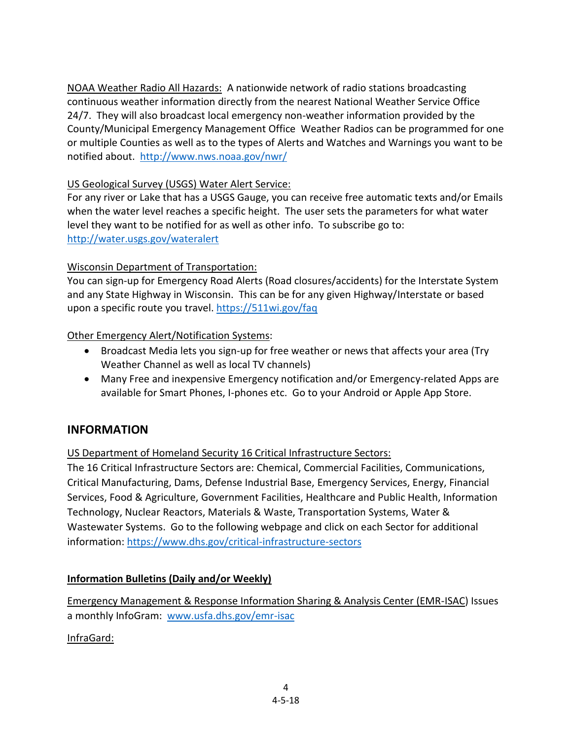NOAA Weather Radio All Hazards: A nationwide network of radio stations broadcasting continuous weather information directly from the nearest National Weather Service Office 24/7. They will also broadcast local emergency non-weather information provided by the County/Municipal Emergency Management Office Weather Radios can be programmed for one or multiple Counties as well as to the types of Alerts and Watches and Warnings you want to be notified about. <http://www.nws.noaa.gov/nwr/>

#### US Geological Survey (USGS) Water Alert Service:

For any river or Lake that has a USGS Gauge, you can receive free automatic texts and/or Emails when the water level reaches a specific height. The user sets the parameters for what water level they want to be notified for as well as other info. To subscribe go to: <http://water.usgs.gov/wateralert>

#### Wisconsin Department of Transportation:

You can sign-up for Emergency Road Alerts (Road closures/accidents) for the Interstate System and any State Highway in Wisconsin. This can be for any given Highway/Interstate or based upon a specific route you travel[. https://511wi.gov/faq](https://511wi.gov/faq)

#### Other Emergency Alert/Notification Systems:

- Broadcast Media lets you sign-up for free weather or news that affects your area (Try Weather Channel as well as local TV channels)
- Many Free and inexpensive Emergency notification and/or Emergency-related Apps are available for Smart Phones, I-phones etc. Go to your Android or Apple App Store.

## **INFORMATION**

#### US Department of Homeland Security 16 Critical Infrastructure Sectors:

The 16 Critical Infrastructure Sectors are: Chemical, Commercial Facilities, Communications, Critical Manufacturing, Dams, Defense Industrial Base, Emergency Services, Energy, Financial Services, Food & Agriculture, Government Facilities, Healthcare and Public Health, Information Technology, Nuclear Reactors, Materials & Waste, Transportation Systems, Water & Wastewater Systems. Go to the following webpage and click on each Sector for additional information:<https://www.dhs.gov/critical-infrastructure-sectors>

#### **Information Bulletins (Daily and/or Weekly)**

Emergency Management & Response Information Sharing & Analysis Center (EMR-ISAC) Issues a monthly InfoGram: [www.usfa.dhs.gov/emr-isac](http://www.usfa.dhs.gov/emr-isac)

## InfraGard: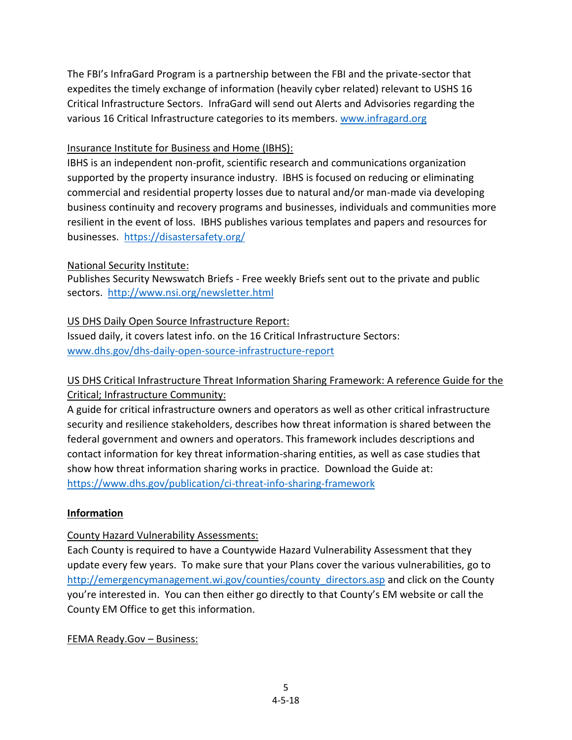The FBI's InfraGard Program is a partnership between the FBI and the private-sector that expedites the timely exchange of information (heavily cyber related) relevant to USHS 16 Critical Infrastructure Sectors. InfraGard will send out Alerts and Advisories regarding the various 16 Critical Infrastructure categories to its members. [www.infragard.org](http://www.infragard.org/)

#### Insurance Institute for Business and Home (IBHS):

IBHS is an independent non-profit, scientific research and communications organization supported by the property insurance industry. IBHS is focused on reducing or eliminating commercial and residential property losses due to natural and/or man-made via developing business continuity and recovery programs and businesses, individuals and communities more resilient in the event of loss. IBHS publishes various templates and papers and resources for businesses. <https://disastersafety.org/>

#### National Security Institute:

Publishes Security Newswatch Briefs - Free weekly Briefs sent out to the private and public sectors. <http://www.nsi.org/newsletter.html>

# US DHS Daily Open Source Infrastructure Report:

Issued daily, it covers latest info. on the 16 Critical Infrastructure Sectors: [www.dhs.gov/dhs-daily-open-source-infrastructure-report](http://www.dhs.gov/dhs-daily-open-source-infrastructure-report)

# US DHS Critical Infrastructure Threat Information Sharing Framework: A reference Guide for the Critical; Infrastructure Community:

A guide for critical infrastructure owners and operators as well as other critical infrastructure security and resilience stakeholders, describes how threat information is shared between the federal government and owners and operators. This framework includes descriptions and contact information for key threat information-sharing entities, as well as case studies that show how threat information sharing works in practice. Download the Guide at: <https://www.dhs.gov/publication/ci-threat-info-sharing-framework>

## **Information**

## County Hazard Vulnerability Assessments:

Each County is required to have a Countywide Hazard Vulnerability Assessment that they update every few years. To make sure that your Plans cover the various vulnerabilities, go to [http://emergencymanagement.wi.gov/counties/county\\_directors.asp](http://emergencymanagement.wi.gov/counties/county_directors.asp) and click on the County you're interested in. You can then either go directly to that County's EM website or call the County EM Office to get this information.

#### FEMA Ready.Gov – Business: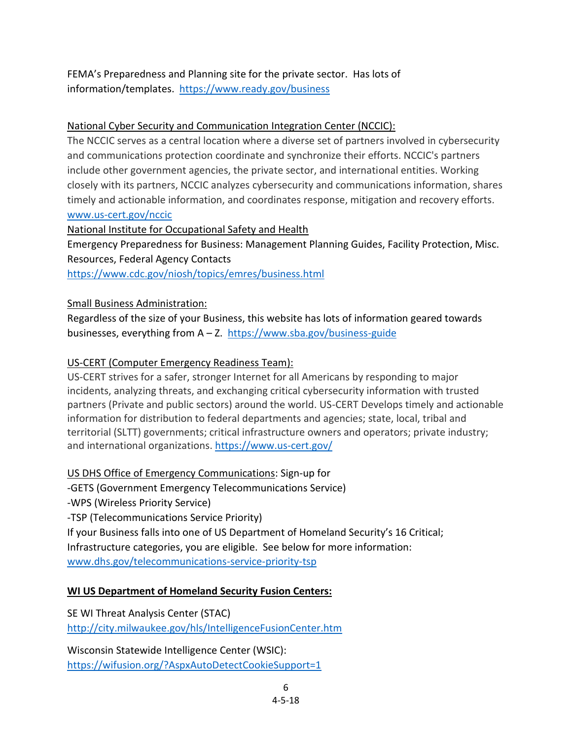FEMA's Preparedness and Planning site for the private sector. Has lots of information/templates. <https://www.ready.gov/business>

#### National Cyber Security and Communication Integration Center (NCCIC):

The NCCIC serves as a central location where a diverse set of partners involved in cybersecurity and communications protection coordinate and synchronize their efforts. NCCIC's partners include other government agencies, the private sector, and international entities. Working closely with its partners, NCCIC analyzes cybersecurity and communications information, shares timely and actionable information, and coordinates response, mitigation and recovery efforts. [www.us-cert.gov/nccic](http://www.us-cert.gov/nccic)

National Institute for Occupational Safety and Health

Emergency Preparedness for Business: Management Planning Guides, Facility Protection, Misc. Resources, Federal Agency Contacts

<https://www.cdc.gov/niosh/topics/emres/business.html>

#### Small Business Administration:

Regardless of the size of your Business, this website has lots of information geared towards businesses, everything from A – Z.<https://www.sba.gov/business-guide>

#### US-CERT (Computer Emergency Readiness Team):

US-CERT strives for a safer, stronger Internet for all Americans by responding to major incidents, analyzing threats, and exchanging critical cybersecurity information with trusted partners (Private and public sectors) around the world. US-CERT Develops timely and actionable information for distribution to federal departments and agencies; state, local, tribal and territorial (SLTT) governments; critical infrastructure owners and operators; private industry; and international organizations.<https://www.us-cert.gov/>

US DHS Office of Emergency Communications: Sign-up for

-GETS (Government Emergency Telecommunications Service)

-WPS (Wireless Priority Service)

-TSP (Telecommunications Service Priority)

If your Business falls into one of US Department of Homeland Security's 16 Critical; Infrastructure categories, you are eligible. See below for more information: [www.dhs.gov/telecommunications-service-priority-tsp](http://www.dhs.gov/telecommunications-service-priority-tsp)

#### **WI US Department of Homeland Security Fusion Centers:**

SE WI Threat Analysis Center (STAC) <http://city.milwaukee.gov/hls/IntelligenceFusionCenter.htm>

Wisconsin Statewide Intelligence Center (WSIC): <https://wifusion.org/?AspxAutoDetectCookieSupport=1>